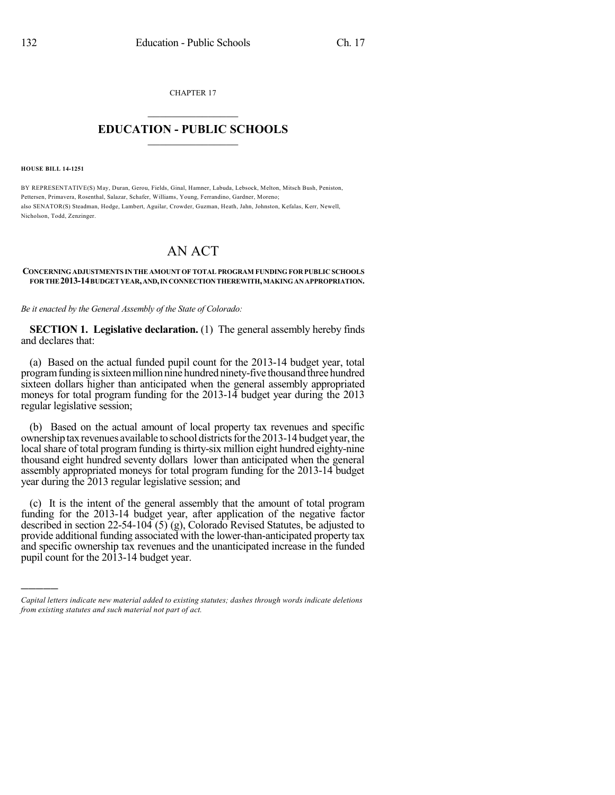CHAPTER 17  $\mathcal{L}_\text{max}$  . The set of the set of the set of the set of the set of the set of the set of the set of the set of the set of the set of the set of the set of the set of the set of the set of the set of the set of the set

## **EDUCATION - PUBLIC SCHOOLS**  $\_$   $\_$   $\_$   $\_$   $\_$   $\_$   $\_$   $\_$   $\_$

**HOUSE BILL 14-1251**

)))))

BY REPRESENTATIVE(S) May, Duran, Gerou, Fields, Ginal, Hamner, Labuda, Lebsock, Melton, Mitsch Bush, Peniston, Pettersen, Primavera, Rosenthal, Salazar, Schafer, Williams, Young, Ferrandino, Gardner, Moreno; also SENATOR(S) Steadman, Hodge, Lambert, Aguilar, Crowder, Guzman, Heath, Jahn, Johnston, Kefalas, Kerr, Newell, Nicholson, Todd, Zenzinger.

## AN ACT

## **CONCERNINGADJUSTMENTS IN THE AMOUNT OF TOTAL PROGRAM FUNDING FOR PUBLIC SCHOOLS FORTHE2013-14BUDGETYEAR,AND,INCONNECTIONTHEREWITH,MAKINGANAPPROPRIATION.**

*Be it enacted by the General Assembly of the State of Colorado:*

**SECTION 1. Legislative declaration.** (1) The general assembly hereby finds and declares that:

(a) Based on the actual funded pupil count for the 2013-14 budget year, total program funding is sixteen million nine hundred ninety-five thousand three hundred sixteen dollars higher than anticipated when the general assembly appropriated moneys for total program funding for the 2013-14 budget year during the 2013 regular legislative session;

(b) Based on the actual amount of local property tax revenues and specific ownership tax revenues available to school districts for the 2013-14 budget year, the local share of total program funding is thirty-six million eight hundred eighty-nine thousand eight hundred seventy dollars lower than anticipated when the general assembly appropriated moneys for total program funding for the 2013-14 budget year during the 2013 regular legislative session; and

(c) It is the intent of the general assembly that the amount of total program funding for the 2013-14 budget year, after application of the negative factor described in section 22-54-104 (5) (g), Colorado Revised Statutes, be adjusted to provide additional funding associated with the lower-than-anticipated property tax and specific ownership tax revenues and the unanticipated increase in the funded pupil count for the 2013-14 budget year.

*Capital letters indicate new material added to existing statutes; dashes through words indicate deletions from existing statutes and such material not part of act.*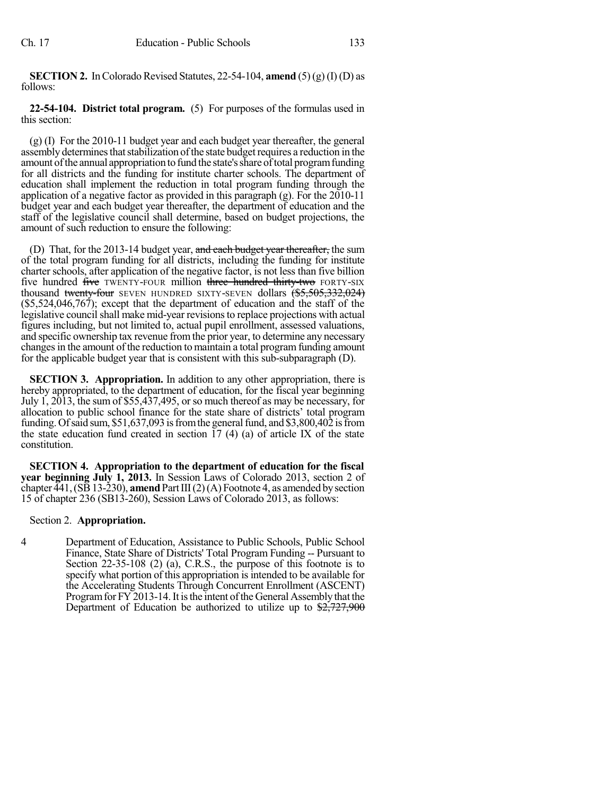**SECTION 2.** In Colorado Revised Statutes, 22-54-104, **amend** (5)(g) (I) (D) as follows:

**22-54-104. District total program.** (5) For purposes of the formulas used in this section:

(g) (I) For the 2010-11 budget year and each budget year thereafter, the general assembly determines that stabilization of the state budget requires a reduction in the amount of the annual appropriation to fund the state's share of total program funding for all districts and the funding for institute charter schools. The department of education shall implement the reduction in total program funding through the application of a negative factor as provided in this paragraph (g). For the 2010-11 budget year and each budget year thereafter, the department of education and the staff of the legislative council shall determine, based on budget projections, the amount of such reduction to ensure the following:

(D) That, for the 2013-14 budget year, and each budget year thereafter, the sum of the total program funding for all districts, including the funding for institute charter schools, after application of the negative factor, is not less than five billion five hundred five TWENTY-FOUR million three hundred thirty-two FORTY-SIX thousand twenty-four SEVEN HUNDRED SIXTY-SEVEN dollars  $(\frac{65}{5000}, \frac{332}{000})$ (\$5,524,046,767); except that the department of education and the staff of the legislative council shall make mid-year revisions to replace projections with actual figures including, but not limited to, actual pupil enrollment, assessed valuations, and specific ownership tax revenue fromthe prior year, to determine any necessary changes in the amount of the reduction to maintain a total program funding amount for the applicable budget year that is consistent with this sub-subparagraph (D).

**SECTION 3. Appropriation.** In addition to any other appropriation, there is hereby appropriated, to the department of education, for the fiscal year beginning July 1, 2013, the sum of \$55,437,495, or so much thereof as may be necessary, for allocation to public school finance for the state share of districts' total program funding. Of said sum,  $$51,637,093$  is from the general fund, and  $$3,800,402$  is from the state education fund created in section  $17 \times (4)$  (a) of article IX of the state constitution.

**SECTION 4. Appropriation to the department of education for the fiscal year beginning July 1, 2013.** In Session Laws of Colorado 2013, section 2 of chapter  $\overline{441}$ , (SB 13-230), **amend** Part III(2)(A) Footnote 4, as amended by section 15 of chapter 236 (SB13-260), Session Laws of Colorado 2013, as follows:

## Section 2. **Appropriation.**

4 Department of Education, Assistance to Public Schools, Public School Finance, State Share of Districts' Total Program Funding -- Pursuant to Section 22-35-108 (2) (a), C.R.S., the purpose of this footnote is to specify what portion of this appropriation is intended to be available for the Accelerating Students Through Concurrent Enrollment (ASCENT) Program for FY 2013-14. It is the intent of the General Assembly that the Department of Education be authorized to utilize up to \$2,727,900